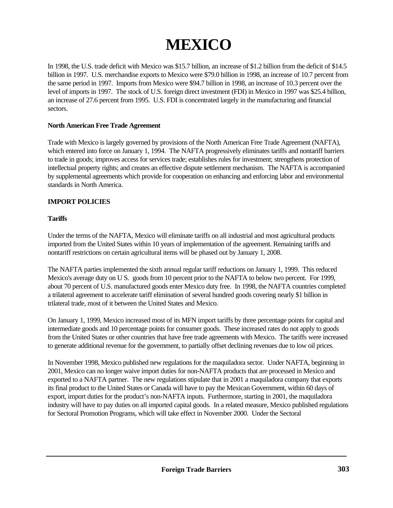# **MEXICO**

In 1998, the U.S. trade deficit with Mexico was \$15.7 billion, an increase of \$1.2 billion from the deficit of \$14.5 billion in 1997. U.S. merchandise exports to Mexico were \$79.0 billion in 1998, an increase of 10.7 percent from the same period in 1997. Imports from Mexico were \$94.7 billion in 1998, an increase of 10.3 percent over the level of imports in 1997. The stock of U.S. foreign direct investment (FDI) in Mexico in 1997 was \$25.4 billion, an increase of 27.6 percent from 1995. U.S. FDI is concentrated largely in the manufacturing and financial sectors.

## **North American Free Trade Agreement**

Trade with Mexico is largely governed by provisions of the North American Free Trade Agreement (NAFTA), which entered into force on January 1, 1994. The NAFTA progressively eliminates tariffs and nontariff barriers to trade in goods; improves access for services trade; establishes rules for investment; strengthens protection of intellectual property rights; and creates an effective dispute settlement mechanism. The NAFTA is accompanied by supplemental agreements which provide for cooperation on enhancing and enforcing labor and environmental standards in North America.

## **IMPORT POLICIES**

## **Tariffs**

Under the terms of the NAFTA, Mexico will eliminate tariffs on all industrial and most agricultural products imported from the United States within 10 years of implementation of the agreement. Remaining tariffs and nontariff restrictions on certain agricultural items will be phased out by January 1, 2008.

The NAFTA parties implemented the sixth annual regular tariff reductions on January 1, 1999. This reduced Mexico's average duty on U S. goods from 10 percent prior to the NAFTA to below two percent. For 1999, about 70 percent of U.S. manufactured goods enter Mexico duty free. In 1998, the NAFTA countries completed a trilateral agreement to accelerate tariff elimination of several hundred goods covering nearly \$1 billion in trilateral trade, most of it between the United States and Mexico.

On January 1, 1999, Mexico increased most of its MFN import tariffs by three percentage points for capital and intermediate goods and 10 percentage points for consumer goods. These increased rates do not apply to goods from the United States or other countries that have free trade agreements with Mexico. The tariffs were increased to generate additional revenue for the government, to partially offset declining revenues due to low oil prices.

In November 1998, Mexico published new regulations for the maquiladora sector. Under NAFTA, beginning in 2001, Mexico can no longer waive import duties for non-NAFTA products that are processed in Mexico and exported to a NAFTA partner. The new regulations stipulate that in 2001 a maquiladora company that exports its final product to the United States or Canada will have to pay the Mexican Government, within 60 days of export, import duties for the product's non-NAFTA inputs. Furthermore, starting in 2001, the maquiladora industry will have to pay duties on all imported capital goods. In a related measure, Mexico published regulations for Sectoral Promotion Programs, which will take effect in November 2000. Under the Sectoral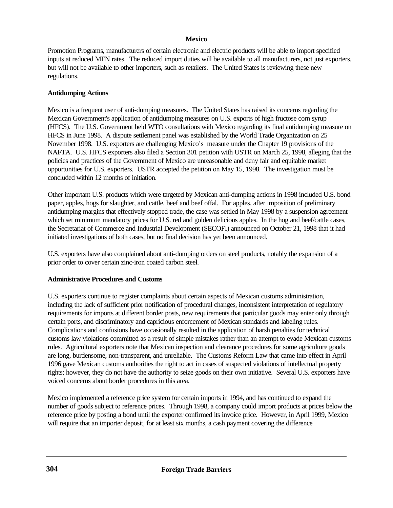Promotion Programs, manufacturers of certain electronic and electric products will be able to import specified inputs at reduced MFN rates. The reduced import duties will be available to all manufacturers, not just exporters, but will not be available to other importers, such as retailers. The United States is reviewing these new regulations.

## **Antidumping Actions**

Mexico is a frequent user of anti-dumping measures. The United States has raised its concerns regarding the Mexican Government's application of antidumping measures on U.S. exports of high fructose corn syrup (HFCS). The U.S. Government held WTO consultations with Mexico regarding its final antidumping measure on HFCS in June 1998. A dispute settlement panel was established by the World Trade Organization on 25 November 1998. U.S. exporters are challenging Mexico's measure under the Chapter 19 provisions of the NAFTA. U.S. HFCS exporters also filed a Section 301 petition with USTR on March 25, 1998, alleging that the policies and practices of the Government of Mexico are unreasonable and deny fair and equitable market opportunities for U.S. exporters. USTR accepted the petition on May 15, 1998. The investigation must be concluded within 12 months of initiation.

Other important U.S. products which were targeted by Mexican anti-dumping actions in 1998 included U.S. bond paper, apples, hogs for slaughter, and cattle, beef and beef offal. For apples, after imposition of preliminary antidumping margins that effectively stopped trade, the case was settled in May 1998 by a suspension agreement which set minimum mandatory prices for U.S. red and golden delicious apples. In the hog and beef/cattle cases, the Secretariat of Commerce and Industrial Development (SECOFI) announced on October 21, 1998 that it had initiated investigations of both cases, but no final decision has yet been announced.

U.S. exporters have also complained about anti-dumping orders on steel products, notably the expansion of a prior order to cover certain zinc-iron coated carbon steel.

# **Administrative Procedures and Customs**

U.S. exporters continue to register complaints about certain aspects of Mexican customs administration, including the lack of sufficient prior notification of procedural changes, inconsistent interpretation of regulatory requirements for imports at different border posts, new requirements that particular goods may enter only through certain ports, and discriminatory and capricious enforcement of Mexican standards and labeling rules. Complications and confusions have occasionally resulted in the application of harsh penalties for technical customs law violations committed as a result of simple mistakes rather than an attempt to evade Mexican customs rules. Agricultural exporters note that Mexican inspection and clearance procedures for some agriculture goods are long, burdensome, non-transparent, and unreliable. The Customs Reform Law that came into effect in April 1996 gave Mexican customs authorities the right to act in cases of suspected violations of intellectual property rights; however, they do not have the authority to seize goods on their own initiative. Several U.S. exporters have voiced concerns about border procedures in this area.

Mexico implemented a reference price system for certain imports in 1994, and has continued to expand the number of goods subject to reference prices. Through 1998, a company could import products at prices below the reference price by posting a bond until the exporter confirmed its invoice price. However, in April 1999, Mexico will require that an importer deposit, for at least six months, a cash payment covering the difference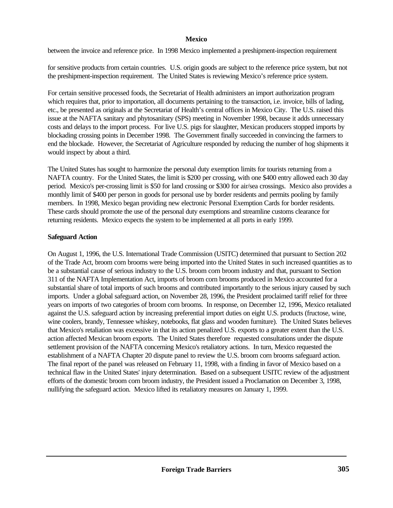between the invoice and reference price. In 1998 Mexico implemented a preshipment-inspection requirement

for sensitive products from certain countries. U.S. origin goods are subject to the reference price system, but not the preshipment-inspection requirement. The United States is reviewing Mexico's reference price system.

For certain sensitive processed foods, the Secretariat of Health administers an import authorization program which requires that, prior to importation, all documents pertaining to the transaction, i.e. invoice, bills of lading, etc., be presented as originals at the Secretariat of Health's central offices in Mexico City. The U.S. raised this issue at the NAFTA sanitary and phytosanitary (SPS) meeting in November 1998, because it adds unnecessary costs and delays to the import process. For live U.S. pigs for slaughter, Mexican producers stopped imports by blockading crossing points in December 1998. The Government finally succeeded in convincing the farmers to end the blockade. However, the Secretariat of Agriculture responded by reducing the number of hog shipments it would inspect by about a third.

The United States has sought to harmonize the personal duty exemption limits for tourists returning from a NAFTA country. For the United States, the limit is \$200 per crossing, with one \$400 entry allowed each 30 day period. Mexico's per-crossing limit is \$50 for land crossing or \$300 for air/sea crossings. Mexico also provides a monthly limit of \$400 per person in goods for personal use by border residents and permits pooling by family members. In 1998, Mexico began providing new electronic Personal Exemption Cards for border residents. These cards should promote the use of the personal duty exemptions and streamline customs clearance for returning residents. Mexico expects the system to be implemented at all ports in early 1999.

# **Safeguard Action**

On August 1, 1996, the U.S. International Trade Commission (USITC) determined that pursuant to Section 202 of the Trade Act, broom corn brooms were being imported into the United States in such increased quantities as to be a substantial cause of serious industry to the U.S. broom corn broom industry and that, pursuant to Section 311 of the NAFTA Implementation Act, imports of broom corn brooms produced in Mexico accounted for a substantial share of total imports of such brooms and contributed importantly to the serious injury caused by such imports. Under a global safeguard action, on November 28, 1996, the President proclaimed tariff relief for three years on imports of two categories of broom corn brooms. In response, on December 12, 1996, Mexico retaliated against the U.S. safeguard action by increasing preferential import duties on eight U.S. products (fructose, wine, wine coolers, brandy, Tennessee whiskey, notebooks, flat glass and wooden furniture). The United States believes that Mexico's retaliation was excessive in that its action penalized U.S. exports to a greater extent than the U.S. action affected Mexican broom exports. The United States therefore requested consultations under the dispute settlement provision of the NAFTA concerning Mexico's retaliatory actions. In turn, Mexico requested the establishment of a NAFTA Chapter 20 dispute panel to review the U.S. broom corn brooms safeguard action. The final report of the panel was released on February 11, 1998, with a finding in favor of Mexico based on a technical flaw in the United States' injury determination. Based on a subsequent USITC review of the adjustment efforts of the domestic broom corn broom industry, the President issued a Proclamation on December 3, 1998, nullifying the safeguard action. Mexico lifted its retaliatory measures on January 1, 1999.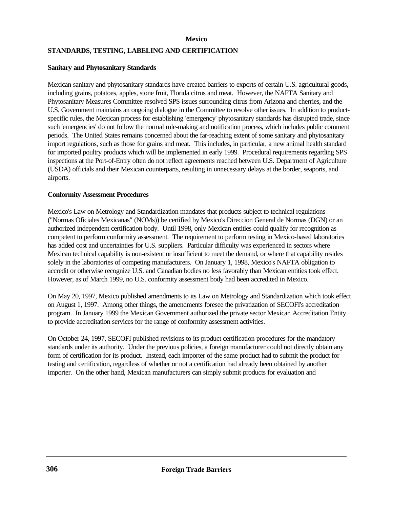## **STANDARDS, TESTING, LABELING AND CERTIFICATION**

## **Sanitary and Phytosanitary Standards**

Mexican sanitary and phytosanitary standards have created barriers to exports of certain U.S. agricultural goods, including grains, potatoes, apples, stone fruit, Florida citrus and meat. However, the NAFTA Sanitary and Phytosanitary Measures Committee resolved SPS issues surrounding citrus from Arizona and cherries, and the U.S. Government maintains an ongoing dialogue in the Committee to resolve other issues. In addition to productspecific rules, the Mexican process for establishing 'emergency' phytosanitary standards has disrupted trade, since such 'emergencies' do not follow the normal rule-making and notification process, which includes public comment periods. The United States remains concerned about the far-reaching extent of some sanitary and phytosanitary import regulations, such as those for grains and meat. This includes, in particular, a new animal health standard for imported poultry products which will be implemented in early 1999. Procedural requirements regarding SPS inspections at the Port-of-Entry often do not reflect agreements reached between U.S. Department of Agriculture (USDA) officials and their Mexican counterparts, resulting in unnecessary delays at the border, seaports, and airports.

#### **Conformity Assessment Procedures**

Mexico's Law on Metrology and Standardization mandates that products subject to technical regulations ("Normas Oficiales Mexicanas" (NOMs)) be certified by Mexico's Direccion General de Normas (DGN) or an authorized independent certification body. Until 1998, only Mexican entities could qualify for recognition as competent to perform conformity assessment. The requirement to perform testing in Mexico-based laboratories has added cost and uncertainties for U.S. suppliers. Particular difficulty was experienced in sectors where Mexican technical capability is non-existent or insufficient to meet the demand, or where that capability resides solely in the laboratories of competing manufacturers. On January 1, 1998, Mexico's NAFTA obligation to accredit or otherwise recognize U.S. and Canadian bodies no less favorably than Mexican entities took effect. However, as of March 1999, no U.S. conformity assessment body had been accredited in Mexico.

On May 20, 1997, Mexico published amendments to its Law on Metrology and Standardization which took effect on August 1, 1997. Among other things, the amendments foresee the privatization of SECOFI's accreditation program. In January 1999 the Mexican Government authorized the private sector Mexican Accreditation Entity to provide accreditation services for the range of conformity assessment activities.

On October 24, 1997, SECOFI published revisions to its product certification procedures for the mandatory standards under its authority. Under the previous policies, a foreign manufacturer could not directly obtain any form of certification for its product. Instead, each importer of the same product had to submit the product for testing and certification, regardless of whether or not a certification had already been obtained by another importer. On the other hand, Mexican manufacturers can simply submit products for evaluation and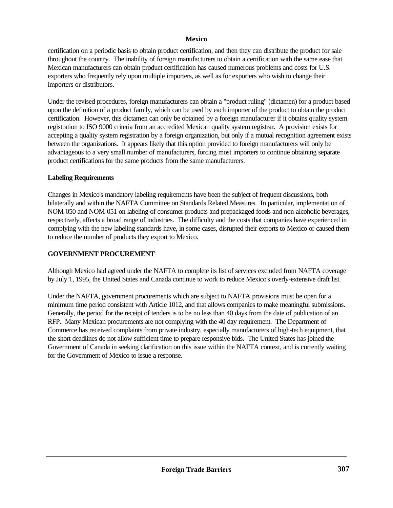certification on a periodic basis to obtain product certification, and then they can distribute the product for sale throughout the country. The inability of foreign manufacturers to obtain a certification with the same ease that Mexican manufacturers can obtain product certification has caused numerous problems and costs for U.S. exporters who frequently rely upon multiple importers, as well as for exporters who wish to change their importers or distributors.

Under the revised procedures, foreign manufacturers can obtain a "product ruling" (dictamen) for a product based upon the definition of a product family, which can be used by each importer of the product to obtain the product certification. However, this dictamen can only be obtained by a foreign manufacturer if it obtains quality system registration to ISO 9000 criteria from an accredited Mexican quality system registrar. A provision exists for accepting a quality system registration by a foreign organization, but only if a mutual recognition agreement exists between the organizations. It appears likely that this option provided to foreign manufacturers will only be advantageous to a very small number of manufacturers, forcing most importers to continue obtaining separate product certifications for the same products from the same manufacturers.

## **Labeling Requirements**

Changes in Mexico's mandatory labeling requirements have been the subject of frequent discussions, both bilaterally and within the NAFTA Committee on Standards Related Measures. In particular, implementation of NOM-050 and NOM-051 on labeling of consumer products and prepackaged foods and non-alcoholic beverages, respectively, affects a broad range of industries. The difficulty and the costs that companies have experienced in complying with the new labeling standards have, in some cases, disrupted their exports to Mexico or caused them to reduce the number of products they export to Mexico.

# **GOVERNMENT PROCUREMENT**

Although Mexico had agreed under the NAFTA to complete its list of services excluded from NAFTA coverage by July 1, 1995, the United States and Canada continue to work to reduce Mexico's overly-extensive draft list.

Under the NAFTA, government procurements which are subject to NAFTA provisions must be open for a minimum time period consistent with Article 1012, and that allows companies to make meaningful submissions. Generally, the period for the receipt of tenders is to be no less than 40 days from the date of publication of an RFP. Many Mexican procurements are not complying with the 40 day requirement. The Department of Commerce has received complaints from private industry, especially manufacturers of high-tech equipment, that the short deadlines do not allow sufficient time to prepare responsive bids. The United States has joined the Government of Canada in seeking clarification on this issue within the NAFTA context, and is currently waiting for the Government of Mexico to issue a response.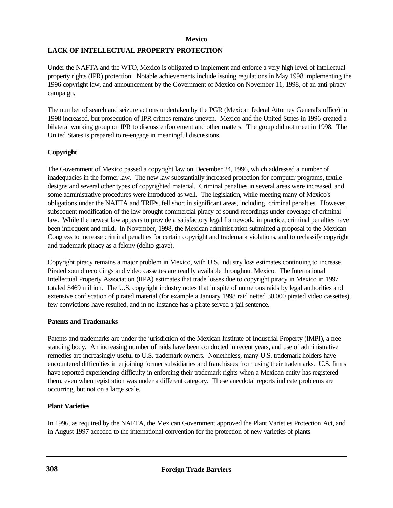# **LACK OF INTELLECTUAL PROPERTY PROTECTION**

Under the NAFTA and the WTO, Mexico is obligated to implement and enforce a very high level of intellectual property rights (IPR) protection. Notable achievements include issuing regulations in May 1998 implementing the 1996 copyright law, and announcement by the Government of Mexico on November 11, 1998, of an anti-piracy campaign.

The number of search and seizure actions undertaken by the PGR (Mexican federal Attorney General's office) in 1998 increased, but prosecution of IPR crimes remains uneven. Mexico and the United States in 1996 created a bilateral working group on IPR to discuss enforcement and other matters. The group did not meet in 1998. The United States is prepared to re-engage in meaningful discussions.

# **Copyright**

The Government of Mexico passed a copyright law on December 24, 1996, which addressed a number of inadequacies in the former law. The new law substantially increased protection for computer programs, textile designs and several other types of copyrighted material. Criminal penalties in several areas were increased, and some administrative procedures were introduced as well. The legislation, while meeting many of Mexico's obligations under the NAFTA and TRIPs, fell short in significant areas, including criminal penalties. However, subsequent modification of the law brought commercial piracy of sound recordings under coverage of criminal law. While the newest law appears to provide a satisfactory legal framework, in practice, criminal penalties have been infrequent and mild. In November, 1998, the Mexican administration submitted a proposal to the Mexican Congress to increase criminal penalties for certain copyright and trademark violations, and to reclassify copyright and trademark piracy as a felony (delito grave).

Copyright piracy remains a major problem in Mexico, with U.S. industry loss estimates continuing to increase. Pirated sound recordings and video cassettes are readily available throughout Mexico. The International Intellectual Property Association (IIPA) estimates that trade losses due to copyright piracy in Mexico in 1997 totaled \$469 million. The U.S. copyright industry notes that in spite of numerous raids by legal authorities and extensive confiscation of pirated material (for example a January 1998 raid netted 30,000 pirated video cassettes), few convictions have resulted, and in no instance has a pirate served a jail sentence.

# **Patents and Trademarks**

Patents and trademarks are under the jurisdiction of the Mexican Institute of Industrial Property (IMPI), a freestanding body. An increasing number of raids have been conducted in recent years, and use of administrative remedies are increasingly useful to U.S. trademark owners. Nonetheless, many U.S. trademark holders have encountered difficulties in enjoining former subsidiaries and franchisees from using their trademarks. U.S. firms have reported experiencing difficulty in enforcing their trademark rights when a Mexican entity has registered them, even when registration was under a different category. These anecdotal reports indicate problems are occurring, but not on a large scale.

# **Plant Varieties**

In 1996, as required by the NAFTA, the Mexican Government approved the Plant Varieties Protection Act, and in August 1997 acceded to the international convention for the protection of new varieties of plants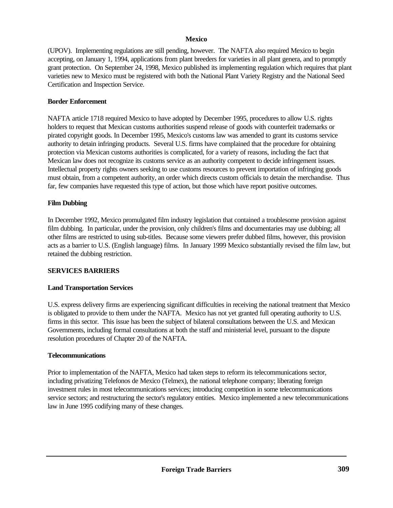(UPOV). Implementing regulations are still pending, however. The NAFTA also required Mexico to begin accepting, on January 1, 1994, applications from plant breeders for varieties in all plant genera, and to promptly grant protection. On September 24, 1998, Mexico published its implementing regulation which requires that plant varieties new to Mexico must be registered with both the National Plant Variety Registry and the National Seed Certification and Inspection Service.

## **Border Enforcement**

NAFTA article 1718 required Mexico to have adopted by December 1995, procedures to allow U.S. rights holders to request that Mexican customs authorities suspend release of goods with counterfeit trademarks or pirated copyright goods. In December 1995, Mexico's customs law was amended to grant its customs service authority to detain infringing products. Several U.S. firms have complained that the procedure for obtaining protection via Mexican customs authorities is complicated, for a variety of reasons, including the fact that Mexican law does not recognize its customs service as an authority competent to decide infringement issues. Intellectual property rights owners seeking to use customs resources to prevent importation of infringing goods must obtain, from a competent authority, an order which directs custom officials to detain the merchandise. Thus far, few companies have requested this type of action, but those which have report positive outcomes.

## **Film Dubbing**

In December 1992, Mexico promulgated film industry legislation that contained a troublesome provision against film dubbing. In particular, under the provision, only children's films and documentaries may use dubbing; all other films are restricted to using sub-titles. Because some viewers prefer dubbed films, however, this provision acts as a barrier to U.S. (English language) films. In January 1999 Mexico substantially revised the film law, but retained the dubbing restriction.

## **SERVICES BARRIERS**

## **Land Transportation Services**

U.S. express delivery firms are experiencing significant difficulties in receiving the national treatment that Mexico is obligated to provide to them under the NAFTA. Mexico has not yet granted full operating authority to U.S. firms in this sector. This issue has been the subject of bilateral consultations between the U.S. and Mexican Governments, including formal consultations at both the staff and ministerial level, pursuant to the dispute resolution procedures of Chapter 20 of the NAFTA.

## **Telecommunications**

Prior to implementation of the NAFTA, Mexico had taken steps to reform its telecommunications sector, including privatizing Telefonos de Mexico (Telmex), the national telephone company; liberating foreign investment rules in most telecommunications services; introducing competition in some telecommunications service sectors; and restructuring the sector's regulatory entities. Mexico implemented a new telecommunications law in June 1995 codifying many of these changes.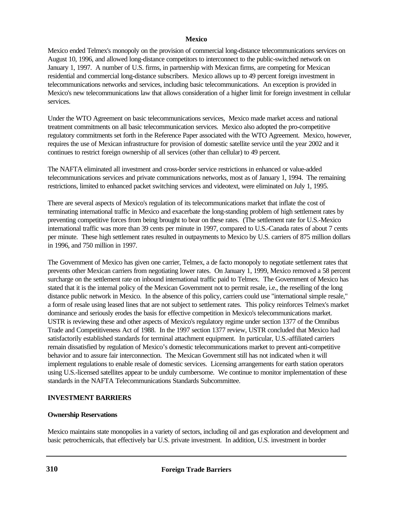Mexico ended Telmex's monopoly on the provision of commercial long-distance telecommunications services on August 10, 1996, and allowed long-distance competitors to interconnect to the public-switched network on January 1, 1997. A number of U.S. firms, in partnership with Mexican firms, are competing for Mexican residential and commercial long-distance subscribers. Mexico allows up to 49 percent foreign investment in telecommunications networks and services, including basic telecommunications. An exception is provided in Mexico's new telecommunications law that allows consideration of a higher limit for foreign investment in cellular services.

Under the WTO Agreement on basic telecommunications services, Mexico made market access and national treatment commitments on all basic telecommunication services. Mexico also adopted the pro-competitive regulatory commitments set forth in the Reference Paper associated with the WTO Agreement. Mexico, however, requires the use of Mexican infrastructure for provision of domestic satellite service until the year 2002 and it continues to restrict foreign ownership of all services (other than cellular) to 49 percent.

The NAFTA eliminated all investment and cross-border service restrictions in enhanced or value-added telecommunications services and private communications networks, most as of January 1, 1994. The remaining restrictions, limited to enhanced packet switching services and videotext, were eliminated on July 1, 1995.

There are several aspects of Mexico's regulation of its telecommunications market that inflate the cost of terminating international traffic in Mexico and exacerbate the long-standing problem of high settlement rates by preventing competitive forces from being brought to bear on these rates. (The settlement rate for U.S.-Mexico international traffic was more than 39 cents per minute in 1997, compared to U.S.-Canada rates of about 7 cents per minute. These high settlement rates resulted in outpayments to Mexico by U.S. carriers of 875 million dollars in 1996, and 750 million in 1997.

The Government of Mexico has given one carrier, Telmex, a de facto monopoly to negotiate settlement rates that prevents other Mexican carriers from negotiating lower rates. On January 1, 1999, Mexico removed a 58 percent surcharge on the settlement rate on inbound international traffic paid to Telmex. The Government of Mexico has stated that it is the internal policy of the Mexican Government not to permit resale, i.e., the reselling of the long distance public network in Mexico. In the absence of this policy, carriers could use "international simple resale," a form of resale using leased lines that are not subject to settlement rates. This policy reinforces Telmex's market dominance and seriously erodes the basis for effective competition in Mexico's telecommunications market. USTR is reviewing these and other aspects of Mexico's regulatory regime under section 1377 of the Omnibus Trade and Competitiveness Act of 1988. In the 1997 section 1377 review, USTR concluded that Mexico had satisfactorily established standards for terminal attachment equipment. In particular, U.S.-affiliated carriers remain dissatisfied by regulation of Mexico's domestic telecommunications market to prevent anti-competitive behavior and to assure fair interconnection. The Mexican Government still has not indicated when it will implement regulations to enable resale of domestic services. Licensing arrangements for earth station operators using U.S.-licensed satellites appear to be unduly cumbersome. We continue to monitor implementation of these standards in the NAFTA Telecommunications Standards Subcommittee.

## **INVESTMENT BARRIERS**

## **Ownership Reservations**

Mexico maintains state monopolies in a variety of sectors, including oil and gas exploration and development and basic petrochemicals, that effectively bar U.S. private investment. In addition, U.S. investment in border